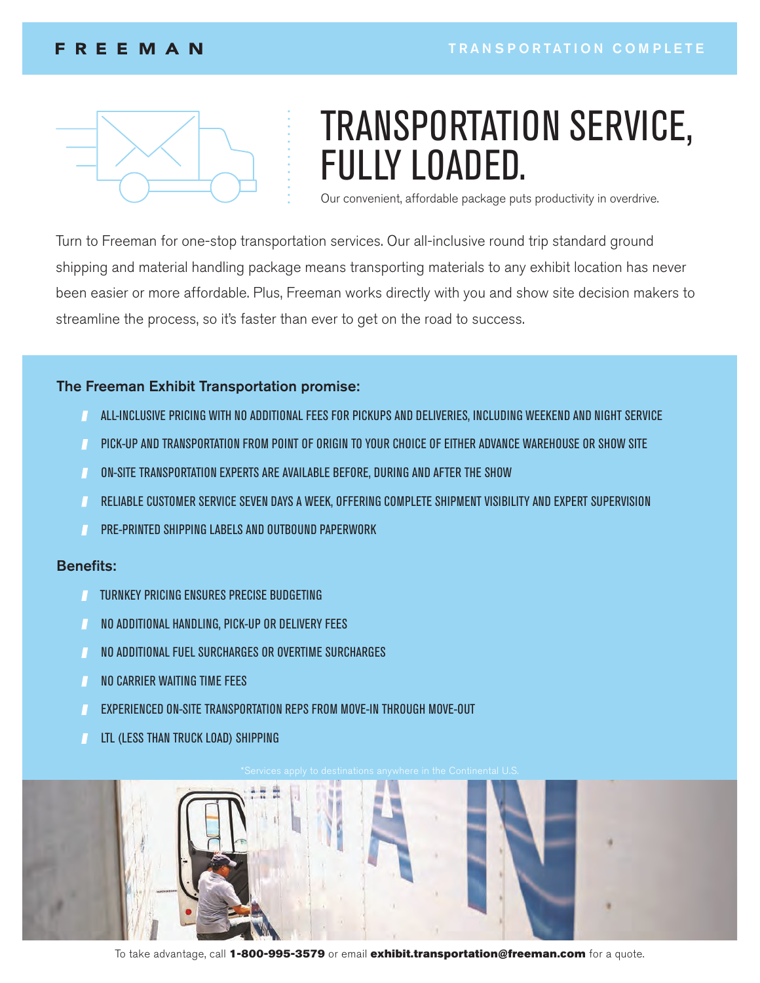## **FREEMAN**



# TRANSPORTATION SERVICE, FULLY LOADED.

Our convenient, affordable package puts productivity in overdrive.

Turn to Freeman for one-stop transportation services. Our all-inclusive round trip standard ground shipping and material handling package means transporting materials to any exhibit location has never been easier or more affordable. Plus, Freeman works directly with you and show site decision makers to streamline the process, so it's faster than ever to get on the road to success.

#### The Freeman Exhibit Transportation promise:

- ALL-INCLUSIVE PRICING WITH NO ADDITIONAL FEES FOR PICKUPS AND DELIVERIES, INCLUDING WEEKEND AND NIGHT SERVICE
- PICK-UP AND TRANSPORTATION FROM POINT OF ORIGIN TO YOUR CHOICE OF EITHER ADVANCE WAREHOUSE OR SHOW SITE  $\blacksquare$
- ON-SITE TRANSPORTATION EXPERTS ARE AVAILABLE BEFORE, DURING AND AFTER THE SHOW  $\mathbf{I}$
- RELIABLE CUSTOMER SERVICE SEVEN DAYS A WEEK, OFFERING COMPLETE SHIPMENT VISIBILITY AND EXPERT SUPERVISION
- PRE-PRINTED SHIPPING LABELS AND OUTBOUND PAPERWORK

#### Benefits:

- **TURNKEY PRICING ENSURES PRECISE BUDGETING**
- NO ADDITIONAL HANDLING, PICK-UP OR DELIVERY FEES
- $\blacksquare$ NO ADDITIONAL FUEL SURCHARGES OR OVERTIME SURCHARGES
- NO CARRIER WAITING TIME FEES
- EXPERIENCED ON-SITE TRANSPORTATION REPS FROM MOVE-IN THROUGH MOVE-OUT
- LTL (LESS THAN TRUCK LOAD) SHIPPING



To take advantage, call 1-800-995-3579 or email exhibit.transportation@freeman.com for a quote.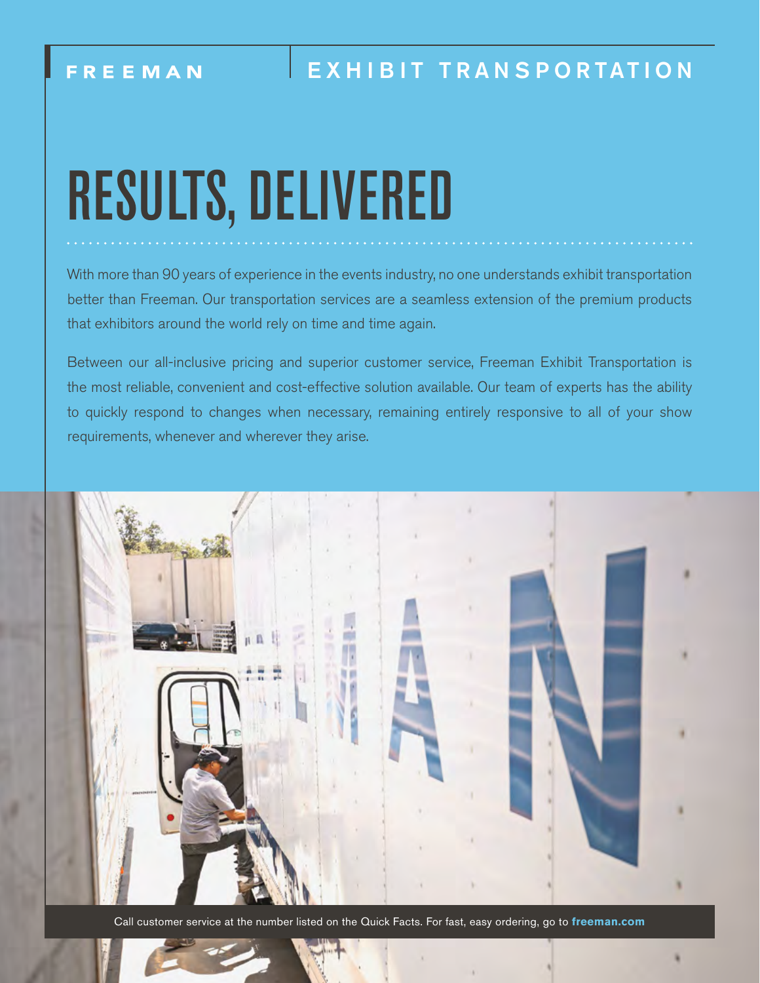# RESULTS, DELIVERED

With more than 90 years of experience in the events industry, no one understands exhibit transportation better than Freeman. Our transportation services are a seamless extension of the premium products that exhibitors around the world rely on time and time again.

Between our all-inclusive pricing and superior customer service, Freeman Exhibit Transportation is the most reliable, convenient and cost-effective solution available. Our team of experts has the ability to quickly respond to changes when necessary, remaining entirely responsive to all of your show requirements, whenever and wherever they arise.



Call customer service at the number listed on the Quick Facts. For fast, easy ordering, go to **freeman.com**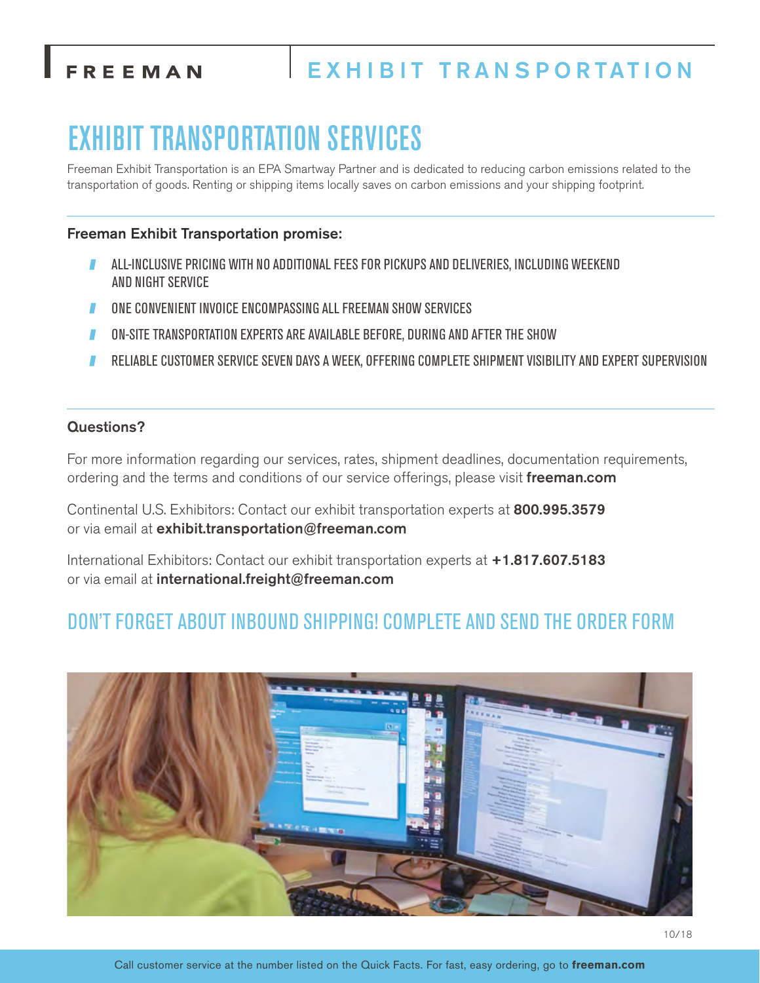## FREEMAN

## EXHIBIT TRANSPORTATION

## EXHIBIT TRANSPORTATION SERVICES

Freeman Exhibit Transportation is an EPA Smartway Partner and is dedicated to reducing carbon emissions related to the transportation of goods. Renting or shipping items locally saves on carbon emissions and your shipping footprint.

### Freeman Exhibit Transportation promise:

- ALL-INCLUSIVE PRICING WITH NO ADDITIONAL FEES FOR PICKUPS AND DELIVERIES, INCLUDING WEEKEND AND NIGHT SERVICE
- ONE CONVENIENT INVOICE ENCOMPASSING ALL FREEMAN SHOW SERVICES
- ON-SITE TRANSPORTATION EXPERTS ARE AVAILABLE BEFORE, DURING AND AFTER THE SHOW
- RELIABLE CUSTOMER SERVICE SEVEN DAYS A WEEK, OFFERING COMPLETE SHIPMENT VISIBILITY AND EXPERT SUPERVISION

#### Questions?

For more information regarding our services, rates, shipment deadlines, documentation requirements, ordering and the terms and conditions of our service offerings, please visit freeman.com

Continental U.S. Exhibitors: Contact our exhibit transportation experts at 800.995.3579 or via email at exhibit.transportation@freeman.com

International Exhibitors: Contact our exhibit transportation experts at +1.817.607.5183 or via email at international.freight@freeman.com

## DON'T FORGET ABOUT INBOUND SHIPPING! COMPLETE AND SEND THE ORDER FORM